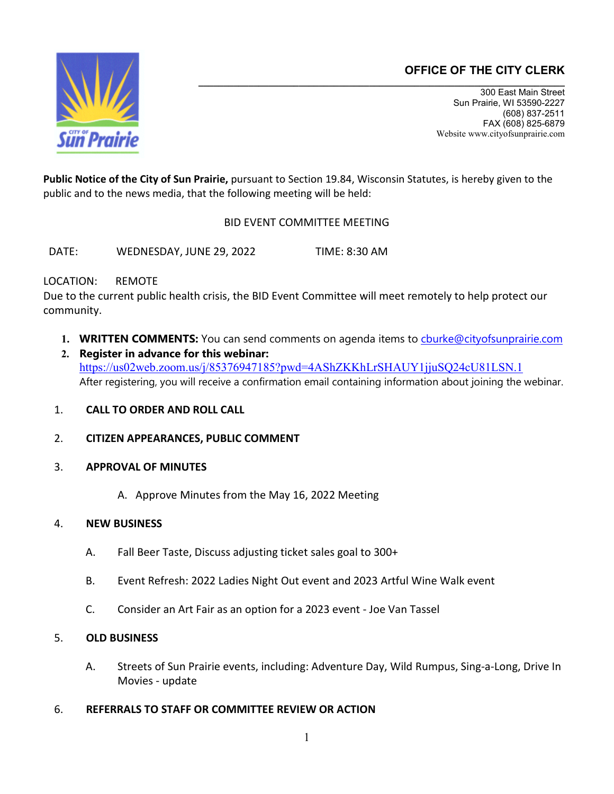# **OFFICE OF THE CITY CLERK**



300 East Main Street Sun Prairie, WI 53590-2227 (608) 837-2511 FAX (608) 825-6879 Website www.cityofsunprairie.com

**Public Notice of the City of Sun Prairie,** pursuant to Section 19.84, Wisconsin Statutes, is hereby given to the public and to the news media, that the following meeting will be held:

BID EVENT COMMITTEE MEETING

DATE: WEDNESDAY, JUNE 29, 2022 TIME: 8:30 AM

## LOCATION: REMOTE

Due to the current public health crisis, the BID Event Committee will meet remotely to help protect our community.

- 1. **WRITTEN COMMENTS:** You can send comments on agenda items to *churke@cityofsunprairie.com*
- **2. Register in advance for this webinar:** <https://us02web.zoom.us/j/85376947185?pwd=4AShZKKhLrSHAUY1jjuSQ24cU81LSN.1> After registering, you will receive a confirmation email containing information about joining the webinar.
- 1. **CALL TO ORDER AND ROLL CALL**
- 2. **CITIZEN APPEARANCES, PUBLIC COMMENT**
- 3. **APPROVAL OF MINUTES**
	- A. Approve Minutes from the May 16, 2022 Meeting

## 4. **NEW BUSINESS**

- A. Fall Beer Taste, Discuss adjusting ticket sales goal to 300+
- B. Event Refresh: 2022 Ladies Night Out event and 2023 Artful Wine Walk event
- C. Consider an Art Fair as an option for a 2023 event Joe Van Tassel

## 5. **OLD BUSINESS**

- A. Streets of Sun Prairie events, including: Adventure Day, Wild Rumpus, Sing-a-Long, Drive In Movies - update
- 6. **REFERRALS TO STAFF OR COMMITTEE REVIEW OR ACTION**